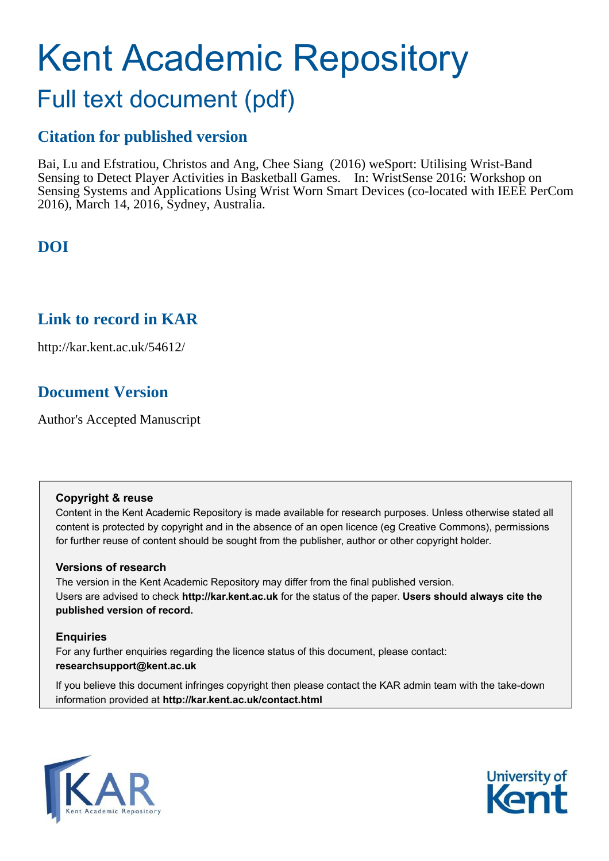# Kent Academic Repository

# Full text document (pdf)

## **Citation for published version**

Bai, Lu and Efstratiou, Christos and Ang, Chee Siang (2016) weSport: Utilising Wrist-Band Sensing to Detect Player Activities in Basketball Games. In: WristSense 2016: Workshop on Sensing Systems and Applications Using Wrist Worn Smart Devices (co-located with IEEE PerCom 2016), March 14, 2016, Sydney, Australia.

## **DOI**

## **Link to record in KAR**

http://kar.kent.ac.uk/54612/

## **Document Version**

Author's Accepted Manuscript

#### **Copyright & reuse**

Content in the Kent Academic Repository is made available for research purposes. Unless otherwise stated all content is protected by copyright and in the absence of an open licence (eg Creative Commons), permissions for further reuse of content should be sought from the publisher, author or other copyright holder.

#### **Versions of research**

The version in the Kent Academic Repository may differ from the final published version. Users are advised to check **http://kar.kent.ac.uk** for the status of the paper. **Users should always cite the published version of record.**

#### **Enquiries**

For any further enquiries regarding the licence status of this document, please contact: **researchsupport@kent.ac.uk**

If you believe this document infringes copyright then please contact the KAR admin team with the take-down information provided at **http://kar.kent.ac.uk/contact.html**



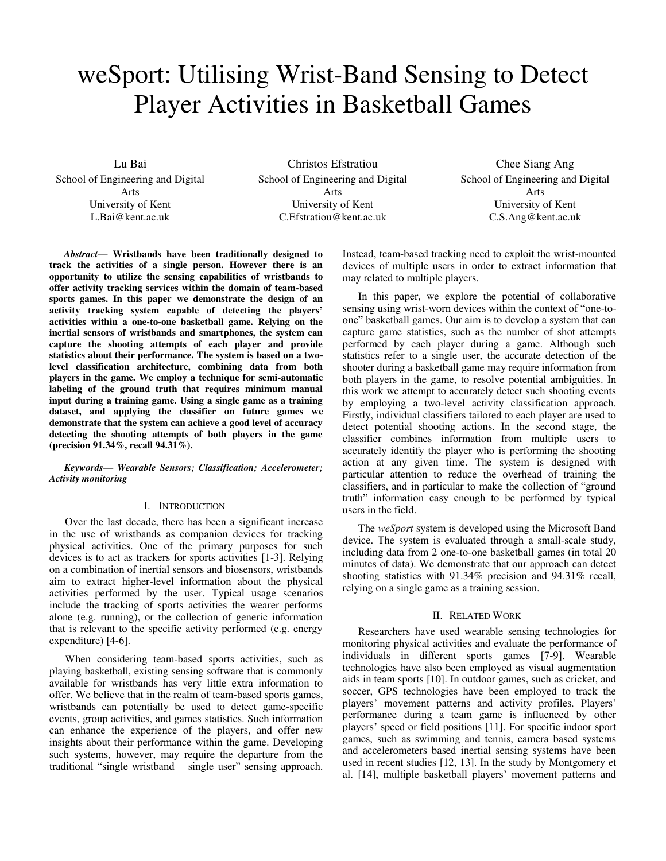## weSport: Utilising Wrist-Band Sensing to Detect Player Activities in Basketball Games

Lu Bai

School of Engineering and Digital Arts University of Kent L.Bai@kent.ac.uk

Christos Efstratiou School of Engineering and Digital Arts University of Kent C.Efstratiou@kent.ac.uk

Chee Siang Ang School of Engineering and Digital Arts University of Kent C.S.Ang@kent.ac.uk

<span id="page-1-1"></span>*Abstract***— Wristbands have been traditionally designed to track the activities of a single person. However there is an opportunity to utilize the sensing capabilities of wristbands to offer activity tracking services within the domain of team-based sports games. In this paper we demonstrate the design of an activity tracking system capable of detecting the players' activities within a one-to-one basketball game. Relying on the inertial sensors of wristbands and smartphones, the system can capture the shooting attempts of each player and provide statistics about their performance. The system is based on a twolevel classification architecture, combining data from both players in the game. We employ a technique for semi-automatic labeling of the ground truth that requires minimum manual input during a training game. Using a single game as a training dataset, and applying the classifier on future games we demonstrate that the system can achieve a good level of accuracy detecting the shooting attempts of both players in the game (precision 91.34%, recall 94.31%).**

*Keywords— Wearable Sensors; Classification; Accelerometer; Activity monitoring* 

#### I. INTRODUCTION

Over the last decade, there has been a significant increase in the use of wristbands as companion devices for tracking physical activities. One of the primary purposes for such devices is to act as trackers for sports activities [\[1-3\]](#page-5-0). Relying on a combination of inertial sensors and biosensors, wristbands aim to extract higher-level information about the physical activities performed by the user. Typical usage scenarios include the tracking of sports activities the wearer performs alone (e.g. running), or the collection of generic information that is relevant to the specific activity performed (e.g. energy expenditure) [\[4-6\]](#page-5-1).

<span id="page-1-0"></span>When considering team-based sports activities, such as playing basketball, existing sensing software that is commonly available for wristbands has very little extra information to offer. We believe that in the realm of team-based sports games, wristbands can potentially be used to detect game-specific events, group activities, and games statistics. Such information can enhance the experience of the players, and offer new insights about their performance within the game. Developing such systems, however, may require the departure from the traditional "single wristband – single user" sensing approach.

Instead, team-based tracking need to exploit the wrist-mounted devices of multiple users in order to extract information that may related to multiple players.

In this paper, we explore the potential of collaborative sensing using wrist-worn devices within the context of "one-toone" basketball games. Our aim is to develop a system that can capture game statistics, such as the number of shot attempts performed by each player during a game. Although such statistics refer to a single user, the accurate detection of the shooter during a basketball game may require information from both players in the game, to resolve potential ambiguities. In this work we attempt to accurately detect such shooting events by employing a two-level activity classification approach. Firstly, individual classifiers tailored to each player are used to detect potential shooting actions. In the second stage, the classifier combines information from multiple users to accurately identify the player who is performing the shooting action at any given time. The system is designed with particular attention to reduce the overhead of training the classifiers, and in particular to make the collection of "ground truth" information easy enough to be performed by typical users in the field.

The *weSport* system is developed using the Microsoft Band device. The system is evaluated through a small-scale study, including data from 2 one-to-one basketball games (in total 20 minutes of data). We demonstrate that our approach can detect shooting statistics with 91.34% precision and 94.31% recall, relying on a single game as a training session.

#### II. RELATED WORK

Researchers have used wearable sensing technologies for monitoring physical activities and evaluate the performance of individuals in different sports games [\[7-9\]](#page-5-2). Wearable technologies have also been employed as visual augmentation aids in team sports [\[10\]](#page-5-3). In outdoor games, such as cricket, and soccer, GPS technologies have been employed to track the players' movement patterns and activity profiles. Players' performance during a team game is influenced by other players' speed or field positions [\[11\]](#page-5-4). For specific indoor sport games, such as swimming and tennis, camera based systems and accelerometers based inertial sensing systems have been used in recent studies [\[12,](#page-5-5) [13\]](#page-5-6). In the study by Montgomery et al. [14], multiple basketball players' movement patterns and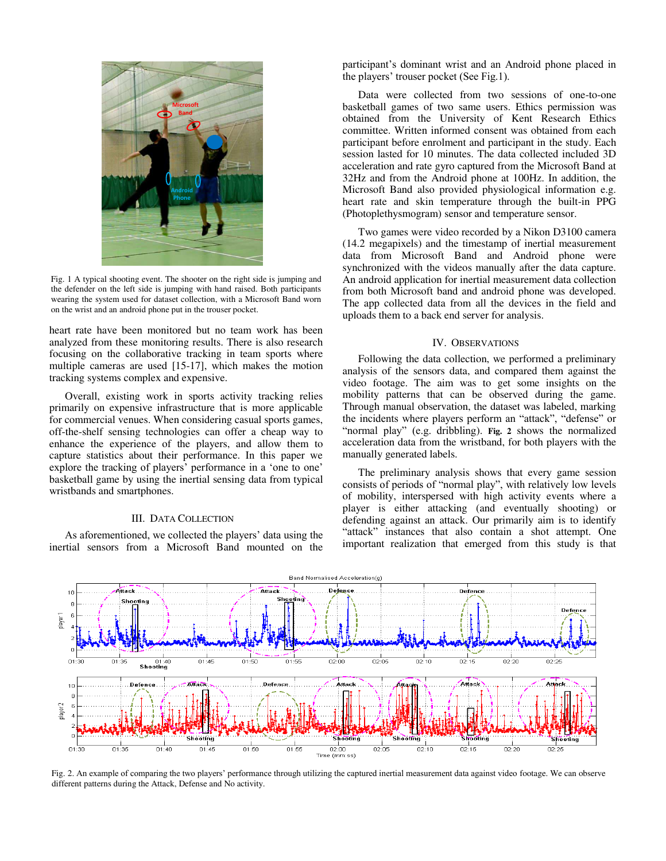

Fig. 1 A typical shooting event. The shooter on the right side is jumping and the defender on the left side is jumping with hand raised. Both participants wearing the system used for dataset collection, with a Microsoft Band worn on the wrist and an android phone put in the trouser pocket.

<span id="page-2-0"></span>heart rate have been monitored but no team work has been analyzed from these monitoring results. There is also research focusing on the collaborative tracking in team sports where multiple cameras are used [15-17], which makes the motion tracking systems complex and expensive.

Overall, existing work in sports activity tracking relies primarily on expensive infrastructure that is more applicable for commercial venues. When considering casual sports games, off-the-shelf sensing technologies can offer a cheap way to enhance the experience of the players, and allow them to capture statistics about their performance. In this paper we explore the tracking of players' performance in a 'one to one' basketball game by using the inertial sensing data from typical wristbands and smartphones.

#### III. DATA COLLECTION

As aforementioned, we collected the players' data using the inertial sensors from a Microsoft Band mounted on the participant's dominant wrist and an Android phone placed in the players' trouser pocket (See Fig.1).

Data were collected from two sessions of one-to-one basketball games of two same users. Ethics permission was obtained from the University of Kent Research Ethics committee. Written informed consent was obtained from each participant before enrolment and participant in the study. Each session lasted for 10 minutes. The data collected included 3D acceleration and rate gyro captured from the Microsoft Band at 32Hz and from the Android phone at 100Hz. In addition, the Microsoft Band also provided physiological information e.g. heart rate and skin temperature through the built-in PPG (Photoplethysmogram) sensor and temperature sensor.

Two games were video recorded by a Nikon D3100 camera (14.2 megapixels) and the timestamp of inertial measurement data from Microsoft Band and Android phone were synchronized with the videos manually after the data capture. An android application for inertial measurement data collection from both Microsoft band and android phone was developed. The app collected data from all the devices in the field and uploads them to a back end server for analysis.

#### IV. OBSERVATIONS

Following the data collection, we performed a preliminary analysis of the sensors data, and compared them against the video footage. The aim was to get some insights on the mobility patterns that can be observed during the game. Through manual observation, the dataset was labeled, marking the incidents where players perform an "attack", "defense" or "normal play" (e.g. dribbling). **[Fig. 2](#page-1-0)** shows the normalized acceleration data from the wristband, for both players with the manually generated labels.

The preliminary analysis shows that every game session consists of periods of "normal play", with relatively low levels of mobility, interspersed with high activity events where a player is either attacking (and eventually shooting) or defending against an attack. Our primarily aim is to identify "attack" instances that also contain a shot attempt. One important realization that emerged from this study is that



<span id="page-2-1"></span>Fig. 2. An example of comparing the two players' performance through utilizing the captured inertial measurement data against video footage. We can observe different patterns during the Attack, Defense and No activity.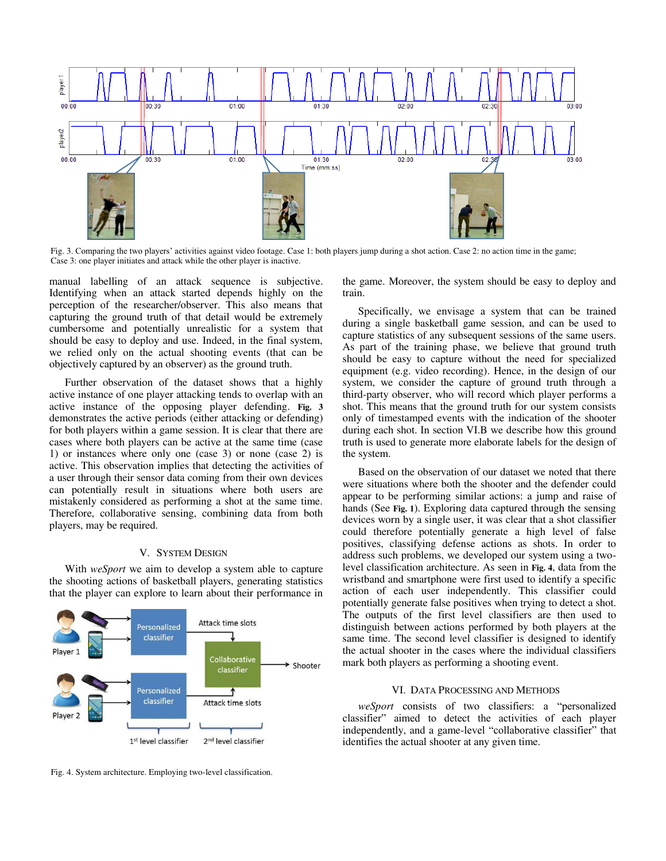

Fig. 3. Comparing the two players' activities against video footage. Case 1: both players jump during a shot action. Case 2: no action time in the game; Case 3: one player initiates and attack while the other player is inactive.

manual labelling of an attack sequence is subjective. Identifying when an attack started depends highly on the perception of the researcher/observer. This also means that capturing the ground truth of that detail would be extremely cumbersome and potentially unrealistic for a system that should be easy to deploy and use. Indeed, in the final system, we relied only on the actual shooting events (that can be objectively captured by an observer) as the ground truth.

Further observation of the dataset shows that a highly active instance of one player attacking tends to overlap with an active instance of the opposing player defending. **[Fig. 3](#page-2-0)** demonstrates the active periods (either attacking or defending) for both players within a game session. It is clear that there are cases where both players can be active at the same time (case 1) or instances where only one (case 3) or none (case 2) is active. This observation implies that detecting the activities of a user through their sensor data coming from their own devices can potentially result in situations where both users are mistakenly considered as performing a shot at the same time. Therefore, collaborative sensing, combining data from both players, may be required.

#### V. SYSTEM DESIGN

With *weSport* we aim to develop a system able to capture the shooting actions of basketball players, generating statistics that the player can explore to learn about their performance in



Fig. 4. System architecture. Employing two-level classification.

the game. Moreover, the system should be easy to deploy and train.

Specifically, we envisage a system that can be trained during a single basketball game session, and can be used to capture statistics of any subsequent sessions of the same users. As part of the training phase, we believe that ground truth should be easy to capture without the need for specialized equipment (e.g. video recording). Hence, in the design of our system, we consider the capture of ground truth through a third-party observer, who will record which player performs a shot. This means that the ground truth for our system consists only of timestamped events with the indication of the shooter during each shot. In section VI.B we describe how this ground truth is used to generate more elaborate labels for the design of the system.

Based on the observation of our dataset we noted that there were situations where both the shooter and the defender could appear to be performing similar actions: a jump and raise of hands (See **[Fig. 1](#page-1-1)**). Exploring data captured through the sensing devices worn by a single user, it was clear that a shot classifier could therefore potentially generate a high level of false positives, classifying defense actions as shots. In order to address such problems, we developed our system using a twolevel classification architecture. As seen in **[Fig. 4](#page-2-1)**, data from the wristband and smartphone were first used to identify a specific action of each user independently. This classifier could potentially generate false positives when trying to detect a shot. The outputs of the first level classifiers are then used to distinguish between actions performed by both players at the same time. The second level classifier is designed to identify the actual shooter in the cases where the individual classifiers mark both players as performing a shooting event.

#### VI. DATA PROCESSING AND METHODS

*weSport* consists of two classifiers: a "personalized classifier" aimed to detect the activities of each player independently, and a game-level "collaborative classifier" that identifies the actual shooter at any given time.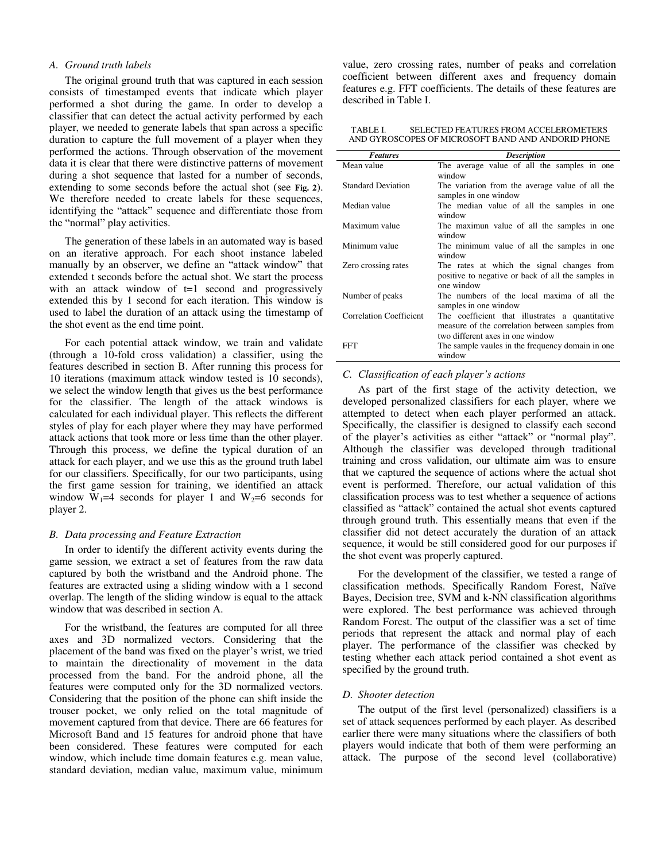#### *A. Ground truth labels*

The original ground truth that was captured in each session consists of timestamped events that indicate which player performed a shot during the game. In order to develop a classifier that can detect the actual activity performed by each player, we needed to generate labels that span across a specific duration to capture the full movement of a player when they performed the actions. Through observation of the movement data it is clear that there were distinctive patterns of movement during a shot sequence that lasted for a number of seconds, extending to some seconds before the actual shot (see **[Fig. 2](#page-1-0)**). We therefore needed to create labels for these sequences, identifying the "attack" sequence and differentiate those from the "normal" play activities.

The generation of these labels in an automated way is based on an iterative approach. For each shoot instance labeled manually by an observer, we define an "attack window" that extended t seconds before the actual shot. We start the process with an attack window of  $t=1$  second and progressively extended this by 1 second for each iteration. This window is used to label the duration of an attack using the timestamp of the shot event as the end time point.

For each potential attack window, we train and validate (through a 10-fold cross validation) a classifier, using the features described in section B. After running this process for 10 iterations (maximum attack window tested is 10 seconds), we select the window length that gives us the best performance for the classifier. The length of the attack windows is calculated for each individual player. This reflects the different styles of play for each player where they may have performed attack actions that took more or less time than the other player. Through this process, we define the typical duration of an attack for each player, and we use this as the ground truth label for our classifiers. Specifically, for our two participants, using the first game session for training, we identified an attack window  $W_1=4$  seconds for player 1 and  $W_2=6$  seconds for player 2.

#### *B. Data processing and Feature Extraction*

In order to identify the different activity events during the game session, we extract a set of features from the raw data captured by both the wristband and the Android phone. The features are extracted using a sliding window with a 1 second overlap. The length of the sliding window is equal to the attack window that was described in section A.

For the wristband, the features are computed for all three axes and 3D normalized vectors. Considering that the placement of the band was fixed on the player's wrist, we tried to maintain the directionality of movement in the data processed from the band. For the android phone, all the features were computed only for the 3D normalized vectors. Considering that the position of the phone can shift inside the trouser pocket, we only relied on the total magnitude of movement captured from that device. There are 66 features for Microsoft Band and 15 features for android phone that have been considered. These features were computed for each window, which include time domain features e.g. mean value, standard deviation, median value, maximum value, minimum

value, zero crossing rates, number of peaks and correlation coefficient between different axes and frequency domain features e.g. FFT coefficients. The details of these features are described in Table I.

TABLE I. SELECTED FEATURES FROM ACCELEROMETERS AND GYROSCOPES OF MICROSOFT BAND AND ANDORID PHONE

| <b>Features</b>           | <b>Description</b>                                                                                             |  |  |  |  |
|---------------------------|----------------------------------------------------------------------------------------------------------------|--|--|--|--|
| Mean value                | The average value of all the samples in one<br>window                                                          |  |  |  |  |
| <b>Standard Deviation</b> | The variation from the average value of all the<br>samples in one window                                       |  |  |  |  |
| Median value              | The median value of all the samples in one<br>window                                                           |  |  |  |  |
| Maximum value             | The maximun value of all the samples in one<br>window                                                          |  |  |  |  |
| Minimum value             | The minimum value of all the samples in one<br>window                                                          |  |  |  |  |
| Zero crossing rates       | The rates at which the signal changes from<br>positive to negative or back of all the samples in<br>one window |  |  |  |  |
| Number of peaks           | The numbers of the local maxima of all the<br>samples in one window                                            |  |  |  |  |
| Correlation Coefficient   | The coefficient that illustrates a quantitative<br>measure of the correlation between samples from             |  |  |  |  |
| FFT                       | two different axes in one window<br>The sample vaules in the frequency domain in one.<br>window                |  |  |  |  |

#### *C. Classification of each player's actions*

As part of the first stage of the activity detection, we developed personalized classifiers for each player, where we attempted to detect when each player performed an attack. Specifically, the classifier is designed to classify each second of the player's activities as either "attack" or "normal play". Although the classifier was developed through traditional training and cross validation, our ultimate aim was to ensure that we captured the sequence of actions where the actual shot event is performed. Therefore, our actual validation of this classification process was to test whether a sequence of actions classified as "attack" contained the actual shot events captured through ground truth. This essentially means that even if the classifier did not detect accurately the duration of an attack sequence, it would be still considered good for our purposes if the shot event was properly captured.

For the development of the classifier, we tested a range of classification methods. Specifically Random Forest, Naïve Bayes, Decision tree, SVM and k-NN classification algorithms were explored. The best performance was achieved through Random Forest. The output of the classifier was a set of time periods that represent the attack and normal play of each player. The performance of the classifier was checked by testing whether each attack period contained a shot event as specified by the ground truth.

#### *D. Shooter detection*

The output of the first level (personalized) classifiers is a set of attack sequences performed by each player. As described earlier there were many situations where the classifiers of both players would indicate that both of them were performing an attack. The purpose of the second level (collaborative)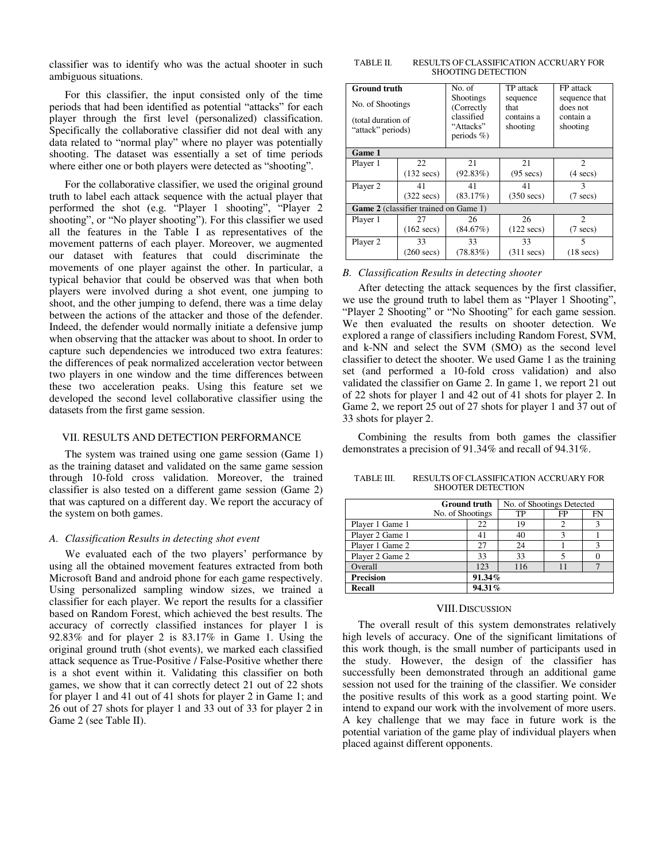classifier was to identify who was the actual shooter in such ambiguous situations.

For this classifier, the input consisted only of the time periods that had been identified as potential "attacks" for each player through the first level (personalized) classification. Specifically the collaborative classifier did not deal with any data related to "normal play" where no player was potentially shooting. The dataset was essentially a set of time periods where either one or both players were detected as "shooting".

<span id="page-5-7"></span>For the collaborative classifier, we used the original ground truth to label each attack sequence with the actual player that performed the shot (e.g. "Player 1 shooting", "Player 2 shooting", or "No player shooting"). For this classifier we used all the features in the Table I as representatives of the movement patterns of each player. Moreover, we augmented our dataset with features that could discriminate the movements of one player against the other. In particular, a typical behavior that could be observed was that when both players were involved during a shot event, one jumping to shoot, and the other jumping to defend, there was a time delay between the actions of the attacker and those of the defender. Indeed, the defender would normally initiate a defensive jump when observing that the attacker was about to shoot. In order to capture such dependencies we introduced two extra features: the differences of peak normalized acceleration vector between two players in one window and the time differences between these two acceleration peaks. Using this feature set we developed the second level collaborative classifier using the datasets from the first game session.

#### VII. RESULTS AND DETECTION PERFORMANCE

The system was trained using one game session (Game 1) as the training dataset and validated on the same game session through 10-fold cross validation. Moreover, the trained classifier is also tested on a different game session (Game 2) that was captured on a different day. We report the accuracy of the system on both games.

#### *A. Classification Results in detecting shot event*

<span id="page-5-1"></span><span id="page-5-0"></span>We evaluated each of the two players' performance by using all the obtained movement features extracted from both Microsoft Band and android phone for each game respectively. Using personalized sampling window sizes, we trained a classifier for each player. We report the results for a classifier based on Random Forest, which achieved the best results. The accuracy of correctly classified instances for player 1 is 92.83% and for player 2 is 83.17% in Game 1. Using the original ground truth (shot events), we marked each classified attack sequence as True-Positive / False-Positive whether there is a shot event within it. Validating this classifier on both games, we show that it can correctly detect 21 out of 22 shots for player 1 and 41 out of 41 shots for player 2 in Game 1; and 26 out of 27 shots for player 1 and 33 out of 33 for player 2 in Game 2 (see Table II).

| TABLE II. | RESULTS OF CLASSIFICATION ACCRUARY FOR |
|-----------|----------------------------------------|
|           | SHOOTING DETECTION                     |

<span id="page-5-2"></span>

| <b>Ground truth</b><br>No. of Shootings<br>(total duration of<br>"attack" periods) |                      | No. of<br>Shootings<br>(Correctly<br>classified<br>"Attacks"<br>periods $%$ ) | TP attack<br>sequence<br>that<br>contains a<br>shooting | FP attack<br>sequence that<br>does not<br>contain a<br>shooting |  |  |  |
|------------------------------------------------------------------------------------|----------------------|-------------------------------------------------------------------------------|---------------------------------------------------------|-----------------------------------------------------------------|--|--|--|
| Game 1                                                                             |                      |                                                                               |                                                         |                                                                 |  |  |  |
| Player 1                                                                           | 22                   | 21                                                                            | 21                                                      | $\mathcal{D}_{\mathcal{L}}$                                     |  |  |  |
|                                                                                    | $(132 \text{ secs})$ | (92.83%)                                                                      | $(95 \text{ secs})$                                     | $(4 \text{ secs})$                                              |  |  |  |
| Player 2                                                                           | 41                   | 41                                                                            | 41                                                      | 3                                                               |  |  |  |
|                                                                                    | $(322 \text{ secs})$ | (83.17%)                                                                      | $(350 \text{ secs})$                                    | $(7 \text{ secs})$                                              |  |  |  |
| <b>Game 2</b> (classifier trained on Game 1)                                       |                      |                                                                               |                                                         |                                                                 |  |  |  |
| Player 1                                                                           | 27                   | 26                                                                            | 26                                                      | $\mathcal{D}$                                                   |  |  |  |
|                                                                                    | $(162 \text{ secs})$ | (84.67%)                                                                      | $(122 \text{ secs})$                                    | $(7 \text{ secs})$                                              |  |  |  |
| Player 2                                                                           | 33                   | 33                                                                            | 33                                                      | 5                                                               |  |  |  |
|                                                                                    | $(260 \text{ secs})$ | (78.83%)                                                                      | $(311 \text{ secs})$                                    | $(18 \text{ secs})$                                             |  |  |  |

#### <span id="page-5-4"></span><span id="page-5-3"></span>*B. Classification Results in detecting shooter*

<span id="page-5-6"></span><span id="page-5-5"></span>After detecting the attack sequences by the first classifier, we use the ground truth to label them as "Player 1 Shooting", "Player 2 Shooting" or "No Shooting" for each game session. We then evaluated the results on shooter detection. We explored a range of classifiers including Random Forest, SVM, and k-NN and select the SVM (SMO) as the second level classifier to detect the shooter. We used Game 1 as the training set (and performed a 10-fold cross validation) and also validated the classifier on Game 2. In game 1, we report 21 out of 22 shots for player 1 and 42 out of 41 shots for player 2. In Game 2, we report 25 out of 27 shots for player 1 and 37 out of 33 shots for player 2.

Combining the results from both games the classifier demonstrates a precision of 91.34% and recall of 94.31%.

|                  | <b>Ground truth</b> |        | No. of Shootings Detected |    |           |
|------------------|---------------------|--------|---------------------------|----|-----------|
|                  | No. of Shootings    |        | TP                        | FP | <b>FN</b> |
| Player 1 Game 1  |                     | 22     | 19                        |    | 3         |
| Player 2 Game 1  |                     | 41     | 40                        |    |           |
| Player 1 Game 2  |                     | 27     | 24                        |    | 3         |
| Player 2 Game 2  |                     | 33     | 33                        |    |           |
| Overall          |                     | 123    | 116                       |    |           |
| <b>Precision</b> |                     | 91.34% |                           |    |           |
| Recall           |                     | 94.31% |                           |    |           |

TABLE III. RESULTS OF CLASSIFICATION ACCRUARY FOR SHOOTER DETECTION

#### VIII.DISCUSSION

The overall result of this system demonstrates relatively high levels of accuracy. One of the significant limitations of this work though, is the small number of participants used in the study. However, the design of the classifier has successfully been demonstrated through an additional game session not used for the training of the classifier. We consider the positive results of this work as a good starting point. We intend to expand our work with the involvement of more users. A key challenge that we may face in future work is the potential variation of the game play of individual players when placed against different opponents.